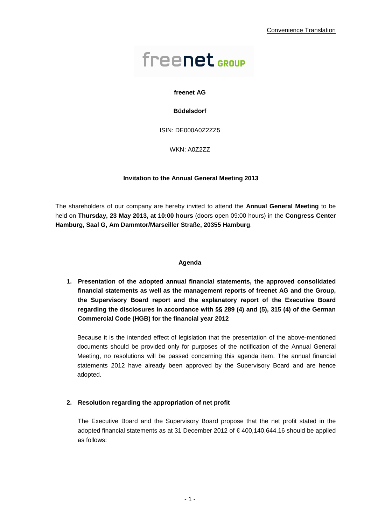# freenet GROUP

## **freenet AG**

## **Büdelsdorf**

ISIN: DE000A0Z2ZZ5

WKN: A0Z2ZZ

### **Invitation to the Annual General Meeting 2013**

The shareholders of our company are hereby invited to attend the **Annual General Meeting** to be held on **Thursday, 23 May 2013, at 10:00 hours** (doors open 09:00 hours) in the **Congress Center Hamburg, Saal G, Am Dammtor/Marseiller Straße, 20355 Hamburg**.

#### **Agenda**

**1. Presentation of the adopted annual financial statements, the approved consolidated financial statements as well as the management reports of freenet AG and the Group, the Supervisory Board report and the explanatory report of the Executive Board regarding the disclosures in accordance with §§ 289 (4) and (5), 315 (4) of the German Commercial Code (HGB) for the financial year 2012** 

Because it is the intended effect of legislation that the presentation of the above-mentioned documents should be provided only for purposes of the notification of the Annual General Meeting, no resolutions will be passed concerning this agenda item. The annual financial statements 2012 have already been approved by the Supervisory Board and are hence adopted.

## **2. Resolution regarding the appropriation of net profit**

The Executive Board and the Supervisory Board propose that the net profit stated in the adopted financial statements as at 31 December 2012 of € 400,140,644.16 should be applied as follows: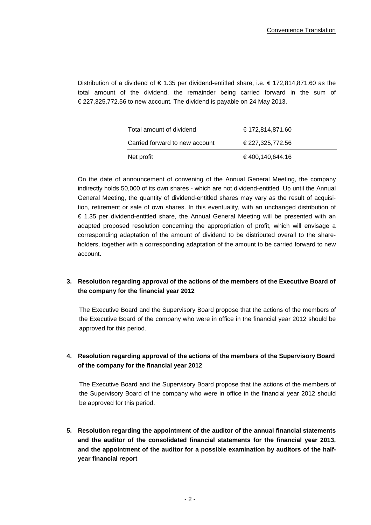Distribution of a dividend of € 1.35 per dividend-entitled share, i.e. € 172,814,871.60 as the total amount of the dividend, the remainder being carried forward in the sum of € 227,325,772.56 to new account. The dividend is payable on 24 May 2013.

| Net profit                     | € 400.140.644.16 |
|--------------------------------|------------------|
| Carried forward to new account | € 227.325.772.56 |
| Total amount of dividend       | € 172,814,871.60 |

On the date of announcement of convening of the Annual General Meeting, the company indirectly holds 50,000 of its own shares - which are not dividend-entitled. Up until the Annual General Meeting, the quantity of dividend-entitled shares may vary as the result of acquisition, retirement or sale of own shares. In this eventuality, with an unchanged distribution of € 1.35 per dividend-entitled share, the Annual General Meeting will be presented with an adapted proposed resolution concerning the appropriation of profit, which will envisage a corresponding adaptation of the amount of dividend to be distributed overall to the shareholders, together with a corresponding adaptation of the amount to be carried forward to new account.

# **3. Resolution regarding approval of the actions of the members of the Executive Board of the company for the financial year 2012**

The Executive Board and the Supervisory Board propose that the actions of the members of the Executive Board of the company who were in office in the financial year 2012 should be approved for this period.

# **4. Resolution regarding approval of the actions of the members of the Supervisory Board of the company for the financial year 2012**

The Executive Board and the Supervisory Board propose that the actions of the members of the Supervisory Board of the company who were in office in the financial year 2012 should be approved for this period.

**5. Resolution regarding the appointment of the auditor of the annual financial statements and the auditor of the consolidated financial statements for the financial year 2013, and the appointment of the auditor for a possible examination by auditors of the halfyear financial report**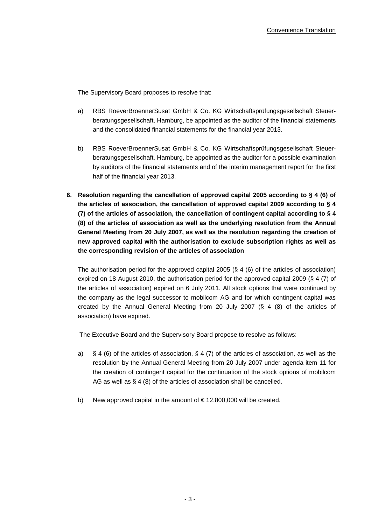The Supervisory Board proposes to resolve that:

- a) RBS RoeverBroennerSusat GmbH & Co. KG Wirtschaftsprüfungsgesellschaft Steuerberatungsgesellschaft, Hamburg, be appointed as the auditor of the financial statements and the consolidated financial statements for the financial year 2013.
- b) RBS RoeverBroennerSusat GmbH & Co. KG Wirtschaftsprüfungsgesellschaft Steuerberatungsgesellschaft, Hamburg, be appointed as the auditor for a possible examination by auditors of the financial statements and of the interim management report for the first half of the financial year 2013.
- **6. Resolution regarding the cancellation of approved capital 2005 according to § 4 (6) of the articles of association, the cancellation of approved capital 2009 according to § 4 (7) of the articles of association, the cancellation of contingent capital according to § 4 (8) of the articles of association as well as the underlying resolution from the Annual General Meeting from 20 July 2007, as well as the resolution regarding the creation of new approved capital with the authorisation to exclude subscription rights as well as the corresponding revision of the articles of association**

The authorisation period for the approved capital 2005 (§ 4 (6) of the articles of association) expired on 18 August 2010, the authorisation period for the approved capital 2009 (§ 4 (7) of the articles of association) expired on 6 July 2011. All stock options that were continued by the company as the legal successor to mobilcom AG and for which contingent capital was created by the Annual General Meeting from 20 July 2007 (§ 4 (8) of the articles of association) have expired.

The Executive Board and the Supervisory Board propose to resolve as follows:

- a) § 4 (6) of the articles of association, § 4 (7) of the articles of association, as well as the resolution by the Annual General Meeting from 20 July 2007 under agenda item 11 for the creation of contingent capital for the continuation of the stock options of mobilcom AG as well as § 4 (8) of the articles of association shall be cancelled.
- b) New approved capital in the amount of  $\epsilon$  12,800,000 will be created.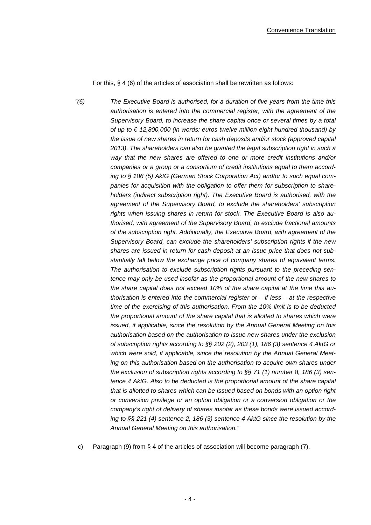For this, § 4 (6) of the articles of association shall be rewritten as follows:

"(6) The Executive Board is authorised, for a duration of five years from the time this authorisation is entered into the commercial register, with the agreement of the Supervisory Board, to increase the share capital once or several times by a total of up to  $\epsilon$  12,800,000 (in words: euros twelve million eight hundred thousand) by the issue of new shares in return for cash deposits and/or stock (approved capital 2013). The shareholders can also be granted the legal subscription right in such a way that the new shares are offered to one or more credit institutions and/or companies or a group or a consortium of credit institutions equal to them according to § 186 (5) AktG (German Stock Corporation Act) and/or to such equal companies for acquisition with the obligation to offer them for subscription to shareholders (indirect subscription right). The Executive Board is authorised, with the agreement of the Supervisory Board, to exclude the shareholders' subscription rights when issuing shares in return for stock. The Executive Board is also authorised, with agreement of the Supervisory Board, to exclude fractional amounts of the subscription right. Additionally, the Executive Board, with agreement of the Supervisory Board, can exclude the shareholders' subscription rights if the new shares are issued in return for cash deposit at an issue price that does not substantially fall below the exchange price of company shares of equivalent terms. The authorisation to exclude subscription rights pursuant to the preceding sentence may only be used insofar as the proportional amount of the new shares to the share capital does not exceed 10% of the share capital at the time this authorisation is entered into the commercial register or  $-$  if less  $-$  at the respective time of the exercising of this authorisation. From the 10% limit is to be deducted the proportional amount of the share capital that is allotted to shares which were issued, if applicable, since the resolution by the Annual General Meeting on this authorisation based on the authorisation to issue new shares under the exclusion of subscription rights according to §§ 202 (2), 203 (1), 186 (3) sentence 4 AktG or which were sold, if applicable, since the resolution by the Annual General Meeting on this authorisation based on the authorisation to acquire own shares under the exclusion of subscription rights according to  $\S$ § 71 (1) number 8, 186 (3) sentence 4 AktG. Also to be deducted is the proportional amount of the share capital that is allotted to shares which can be issued based on bonds with an option right or conversion privilege or an option obligation or a conversion obligation or the company's right of delivery of shares insofar as these bonds were issued according to §§ 221 (4) sentence 2, 186 (3) sentence 4 AktG since the resolution by the Annual General Meeting on this authorisation."

c) Paragraph (9) from § 4 of the articles of association will become paragraph (7).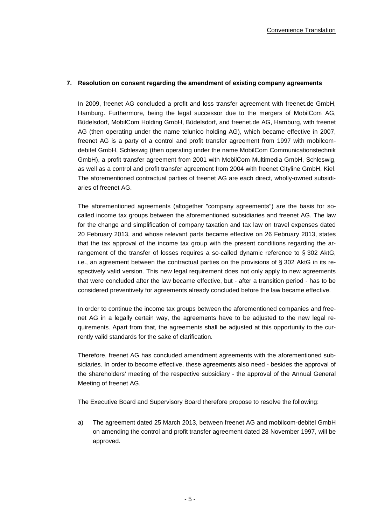### **7. Resolution on consent regarding the amendment of existing company agreements**

In 2009, freenet AG concluded a profit and loss transfer agreement with freenet.de GmbH, Hamburg. Furthermore, being the legal successor due to the mergers of MobilCom AG, Büdelsdorf, MobilCom Holding GmbH, Büdelsdorf, and freenet.de AG, Hamburg, with freenet AG (then operating under the name telunico holding AG), which became effective in 2007, freenet AG is a party of a control and profit transfer agreement from 1997 with mobilcomdebitel GmbH, Schleswig (then operating under the name MobilCom Communicationstechnik GmbH), a profit transfer agreement from 2001 with MobilCom Multimedia GmbH, Schleswig, as well as a control and profit transfer agreement from 2004 with freenet Cityline GmbH, Kiel. The aforementioned contractual parties of freenet AG are each direct, wholly-owned subsidiaries of freenet AG.

The aforementioned agreements (altogether "company agreements") are the basis for socalled income tax groups between the aforementioned subsidiaries and freenet AG. The law for the change and simplification of company taxation and tax law on travel expenses dated 20 February 2013, and whose relevant parts became effective on 26 February 2013, states that the tax approval of the income tax group with the present conditions regarding the arrangement of the transfer of losses requires a so-called dynamic reference to § 302 AktG, i.e., an agreement between the contractual parties on the provisions of § 302 AktG in its respectively valid version. This new legal requirement does not only apply to new agreements that were concluded after the law became effective, but - after a transition period - has to be considered preventively for agreements already concluded before the law became effective.

In order to continue the income tax groups between the aforementioned companies and freenet AG in a legally certain way, the agreements have to be adjusted to the new legal requirements. Apart from that, the agreements shall be adjusted at this opportunity to the currently valid standards for the sake of clarification.

Therefore, freenet AG has concluded amendment agreements with the aforementioned subsidiaries. In order to become effective, these agreements also need - besides the approval of the shareholders' meeting of the respective subsidiary - the approval of the Annual General Meeting of freenet AG.

The Executive Board and Supervisory Board therefore propose to resolve the following:

a) The agreement dated 25 March 2013, between freenet AG and mobilcom-debitel GmbH on amending the control and profit transfer agreement dated 28 November 1997, will be approved.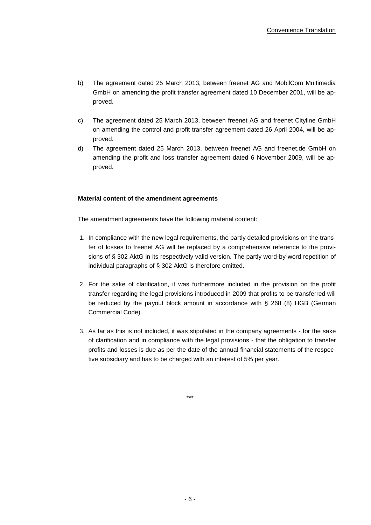- b) The agreement dated 25 March 2013, between freenet AG and MobilCom Multimedia GmbH on amending the profit transfer agreement dated 10 December 2001, will be approved.
- c) The agreement dated 25 March 2013, between freenet AG and freenet Cityline GmbH on amending the control and profit transfer agreement dated 26 April 2004, will be approved.
- d) The agreement dated 25 March 2013, between freenet AG and freenet.de GmbH on amending the profit and loss transfer agreement dated 6 November 2009, will be approved.

## **Material content of the amendment agreements**

The amendment agreements have the following material content:

- 1. In compliance with the new legal requirements, the partly detailed provisions on the transfer of losses to freenet AG will be replaced by a comprehensive reference to the provisions of § 302 AktG in its respectively valid version. The partly word-by-word repetition of individual paragraphs of § 302 AktG is therefore omitted.
- 2. For the sake of clarification, it was furthermore included in the provision on the profit transfer regarding the legal provisions introduced in 2009 that profits to be transferred will be reduced by the payout block amount in accordance with § 268 (8) HGB (German Commercial Code).
- 3. As far as this is not included, it was stipulated in the company agreements for the sake of clarification and in compliance with the legal provisions - that the obligation to transfer profits and losses is due as per the date of the annual financial statements of the respective subsidiary and has to be charged with an interest of 5% per year.

\*\*\*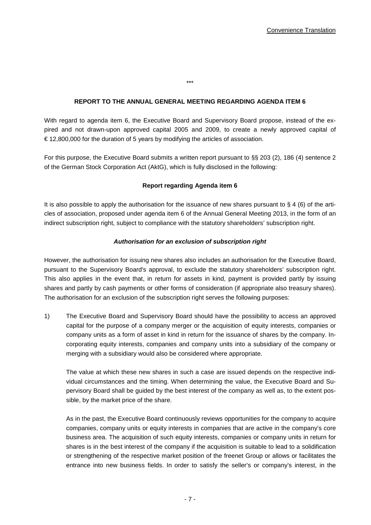# **REPORT TO THE ANNUAL GENERAL MEETING REGARDING AGENDA ITEM 6**

\*\*\*

With regard to agenda item 6, the Executive Board and Supervisory Board propose, instead of the expired and not drawn-upon approved capital 2005 and 2009, to create a newly approved capital of  $\epsilon$  12,800,000 for the duration of 5 years by modifying the articles of association.

For this purpose, the Executive Board submits a written report pursuant to §§ 203 (2), 186 (4) sentence 2 of the German Stock Corporation Act (AktG), which is fully disclosed in the following:

## **Report regarding Agenda item 6**

It is also possible to apply the authorisation for the issuance of new shares pursuant to  $\S 4$  (6) of the articles of association, proposed under agenda item 6 of the Annual General Meeting 2013, in the form of an indirect subscription right, subject to compliance with the statutory shareholders' subscription right.

### **Authorisation for an exclusion of subscription right**

However, the authorisation for issuing new shares also includes an authorisation for the Executive Board, pursuant to the Supervisory Board's approval, to exclude the statutory shareholders' subscription right. This also applies in the event that, in return for assets in kind, payment is provided partly by issuing shares and partly by cash payments or other forms of consideration (if appropriate also treasury shares). The authorisation for an exclusion of the subscription right serves the following purposes:

1) The Executive Board and Supervisory Board should have the possibility to access an approved capital for the purpose of a company merger or the acquisition of equity interests, companies or company units as a form of asset in kind in return for the issuance of shares by the company. Incorporating equity interests, companies and company units into a subsidiary of the company or merging with a subsidiary would also be considered where appropriate.

The value at which these new shares in such a case are issued depends on the respective individual circumstances and the timing. When determining the value, the Executive Board and Supervisory Board shall be guided by the best interest of the company as well as, to the extent possible, by the market price of the share.

As in the past, the Executive Board continuously reviews opportunities for the company to acquire companies, company units or equity interests in companies that are active in the company's core business area. The acquisition of such equity interests, companies or company units in return for shares is in the best interest of the company if the acquisition is suitable to lead to a solidification or strengthening of the respective market position of the freenet Group or allows or facilitates the entrance into new business fields. In order to satisfy the seller's or company's interest, in the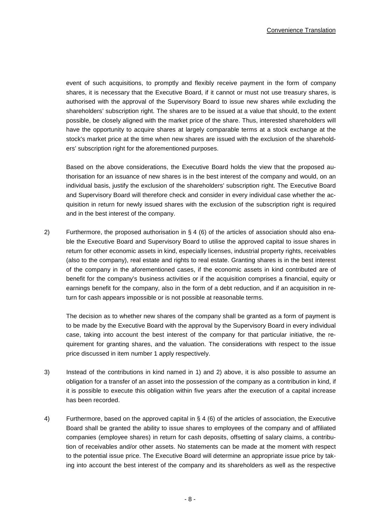event of such acquisitions, to promptly and flexibly receive payment in the form of company shares, it is necessary that the Executive Board, if it cannot or must not use treasury shares, is authorised with the approval of the Supervisory Board to issue new shares while excluding the shareholders' subscription right. The shares are to be issued at a value that should, to the extent possible, be closely aligned with the market price of the share. Thus, interested shareholders will have the opportunity to acquire shares at largely comparable terms at a stock exchange at the stock's market price at the time when new shares are issued with the exclusion of the shareholders' subscription right for the aforementioned purposes.

Based on the above considerations, the Executive Board holds the view that the proposed authorisation for an issuance of new shares is in the best interest of the company and would, on an individual basis, justify the exclusion of the shareholders' subscription right. The Executive Board and Supervisory Board will therefore check and consider in every individual case whether the acquisition in return for newly issued shares with the exclusion of the subscription right is required and in the best interest of the company.

2) Furthermore, the proposed authorisation in  $\S$  4 (6) of the articles of association should also enable the Executive Board and Supervisory Board to utilise the approved capital to issue shares in return for other economic assets in kind, especially licenses, industrial property rights, receivables (also to the company), real estate and rights to real estate. Granting shares is in the best interest of the company in the aforementioned cases, if the economic assets in kind contributed are of benefit for the company's business activities or if the acquisition comprises a financial, equity or earnings benefit for the company, also in the form of a debt reduction, and if an acquisition in return for cash appears impossible or is not possible at reasonable terms.

The decision as to whether new shares of the company shall be granted as a form of payment is to be made by the Executive Board with the approval by the Supervisory Board in every individual case, taking into account the best interest of the company for that particular initiative, the requirement for granting shares, and the valuation. The considerations with respect to the issue price discussed in item number 1 apply respectively.

- 3) Instead of the contributions in kind named in 1) and 2) above, it is also possible to assume an obligation for a transfer of an asset into the possession of the company as a contribution in kind, if it is possible to execute this obligation within five years after the execution of a capital increase has been recorded.
- 4) Furthermore, based on the approved capital in § 4 (6) of the articles of association, the Executive Board shall be granted the ability to issue shares to employees of the company and of affiliated companies (employee shares) in return for cash deposits, offsetting of salary claims, a contribution of receivables and/or other assets. No statements can be made at the moment with respect to the potential issue price. The Executive Board will determine an appropriate issue price by taking into account the best interest of the company and its shareholders as well as the respective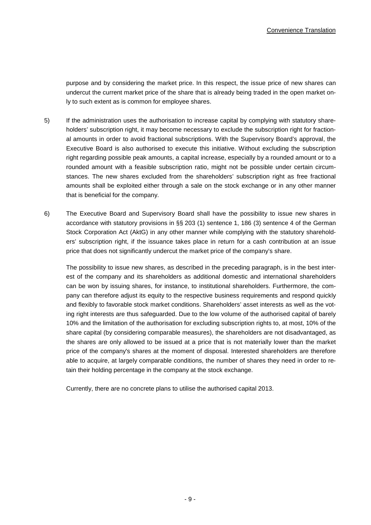purpose and by considering the market price. In this respect, the issue price of new shares can undercut the current market price of the share that is already being traded in the open market only to such extent as is common for employee shares.

- 5) If the administration uses the authorisation to increase capital by complying with statutory shareholders' subscription right, it may become necessary to exclude the subscription right for fractional amounts in order to avoid fractional subscriptions. With the Supervisory Board's approval, the Executive Board is also authorised to execute this initiative. Without excluding the subscription right regarding possible peak amounts, a capital increase, especially by a rounded amount or to a rounded amount with a feasible subscription ratio, might not be possible under certain circumstances. The new shares excluded from the shareholders' subscription right as free fractional amounts shall be exploited either through a sale on the stock exchange or in any other manner that is beneficial for the company.
- 6) The Executive Board and Supervisory Board shall have the possibility to issue new shares in accordance with statutory provisions in §§ 203 (1) sentence 1, 186 (3) sentence 4 of the German Stock Corporation Act (AktG) in any other manner while complying with the statutory shareholders' subscription right, if the issuance takes place in return for a cash contribution at an issue price that does not significantly undercut the market price of the company's share.

The possibility to issue new shares, as described in the preceding paragraph, is in the best interest of the company and its shareholders as additional domestic and international shareholders can be won by issuing shares, for instance, to institutional shareholders. Furthermore, the company can therefore adjust its equity to the respective business requirements and respond quickly and flexibly to favorable stock market conditions. Shareholders' asset interests as well as the voting right interests are thus safeguarded. Due to the low volume of the authorised capital of barely 10% and the limitation of the authorisation for excluding subscription rights to, at most, 10% of the share capital (by considering comparable measures), the shareholders are not disadvantaged, as the shares are only allowed to be issued at a price that is not materially lower than the market price of the company's shares at the moment of disposal. Interested shareholders are therefore able to acquire, at largely comparable conditions, the number of shares they need in order to retain their holding percentage in the company at the stock exchange.

Currently, there are no concrete plans to utilise the authorised capital 2013.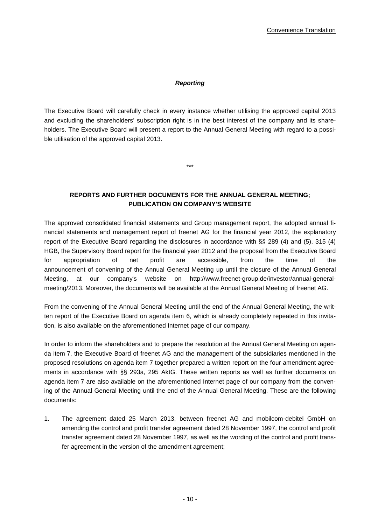## **Reporting**

The Executive Board will carefully check in every instance whether utilising the approved capital 2013 and excluding the shareholders' subscription right is in the best interest of the company and its shareholders. The Executive Board will present a report to the Annual General Meeting with regard to a possible utilisation of the approved capital 2013.

**REPORTS AND FURTHER DOCUMENTS FOR THE ANNUAL GENERAL MEETING; PUBLICATION ON COMPANY'S WEBSITE** 

\*\*\*

The approved consolidated financial statements and Group management report, the adopted annual financial statements and management report of freenet AG for the financial year 2012, the explanatory report of the Executive Board regarding the disclosures in accordance with §§ 289 (4) and (5), 315 (4) HGB, the Supervisory Board report for the financial year 2012 and the proposal from the Executive Board for appropriation of net profit are accessible, from the time of the announcement of convening of the Annual General Meeting up until the closure of the Annual General Meeting, at our company's website on http://www.freenet-group.de/investor/annual-generalmeeting/2013. Moreover, the documents will be available at the Annual General Meeting of freenet AG.

From the convening of the Annual General Meeting until the end of the Annual General Meeting, the written report of the Executive Board on agenda item 6, which is already completely repeated in this invitation, is also available on the aforementioned Internet page of our company.

In order to inform the shareholders and to prepare the resolution at the Annual General Meeting on agenda item 7, the Executive Board of freenet AG and the management of the subsidiaries mentioned in the proposed resolutions on agenda item 7 together prepared a written report on the four amendment agreements in accordance with §§ 293a, 295 AktG. These written reports as well as further documents on agenda item 7 are also available on the aforementioned Internet page of our company from the convening of the Annual General Meeting until the end of the Annual General Meeting. These are the following documents:

1. The agreement dated 25 March 2013, between freenet AG and mobilcom-debitel GmbH on amending the control and profit transfer agreement dated 28 November 1997, the control and profit transfer agreement dated 28 November 1997, as well as the wording of the control and profit transfer agreement in the version of the amendment agreement;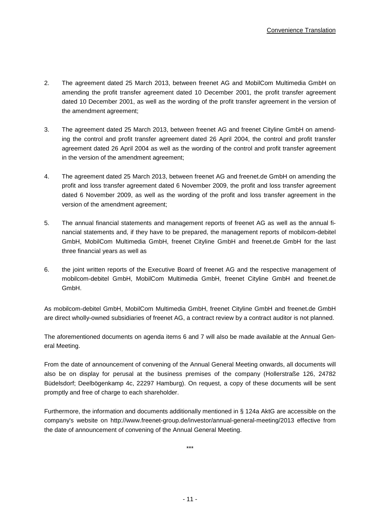- 2. The agreement dated 25 March 2013, between freenet AG and MobilCom Multimedia GmbH on amending the profit transfer agreement dated 10 December 2001, the profit transfer agreement dated 10 December 2001, as well as the wording of the profit transfer agreement in the version of the amendment agreement;
- 3. The agreement dated 25 March 2013, between freenet AG and freenet Cityline GmbH on amending the control and profit transfer agreement dated 26 April 2004, the control and profit transfer agreement dated 26 April 2004 as well as the wording of the control and profit transfer agreement in the version of the amendment agreement;
- 4. The agreement dated 25 March 2013, between freenet AG and freenet.de GmbH on amending the profit and loss transfer agreement dated 6 November 2009, the profit and loss transfer agreement dated 6 November 2009, as well as the wording of the profit and loss transfer agreement in the version of the amendment agreement;
- 5. The annual financial statements and management reports of freenet AG as well as the annual financial statements and, if they have to be prepared, the management reports of mobilcom-debitel GmbH, MobilCom Multimedia GmbH, freenet Cityline GmbH and freenet.de GmbH for the last three financial years as well as
- 6. the joint written reports of the Executive Board of freenet AG and the respective management of mobilcom-debitel GmbH, MobilCom Multimedia GmbH, freenet Cityline GmbH and freenet.de GmbH.

As mobilcom-debitel GmbH, MobilCom Multimedia GmbH, freenet Cityline GmbH and freenet.de GmbH are direct wholly-owned subsidiaries of freenet AG, a contract review by a contract auditor is not planned.

The aforementioned documents on agenda items 6 and 7 will also be made available at the Annual General Meeting.

From the date of announcement of convening of the Annual General Meeting onwards, all documents will also be on display for perusal at the business premises of the company (Hollerstraße 126, 24782 Büdelsdorf; Deelbögenkamp 4c, 22297 Hamburg). On request, a copy of these documents will be sent promptly and free of charge to each shareholder.

Furthermore, the information and documents additionally mentioned in § 124a AktG are accessible on the company's website on http://www.freenet-group.de/investor/annual-general-meeting/2013 effective from the date of announcement of convening of the Annual General Meeting.

\*\*\*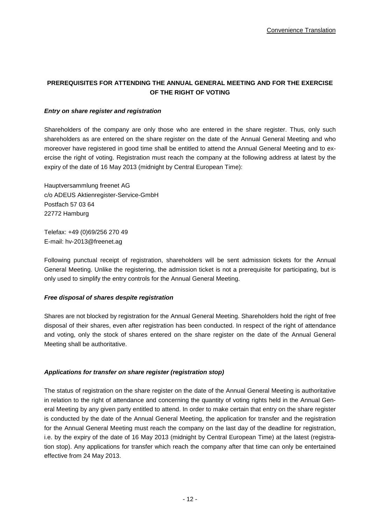# **PREREQUISITES FOR ATTENDING THE ANNUAL GENERAL MEETING AND FOR THE EXERCISE OF THE RIGHT OF VOTING**

## **Entry on share register and registration**

Shareholders of the company are only those who are entered in the share register. Thus, only such shareholders as are entered on the share register on the date of the Annual General Meeting and who moreover have registered in good time shall be entitled to attend the Annual General Meeting and to exercise the right of voting. Registration must reach the company at the following address at latest by the expiry of the date of 16 May 2013 (midnight by Central European Time):

Hauptversammlung freenet AG c/o ADEUS Aktienregister-Service-GmbH Postfach 57 03 64 22772 Hamburg

Telefax: +49 (0)69/256 270 49 E-mail: hv-2013@freenet.ag

Following punctual receipt of registration, shareholders will be sent admission tickets for the Annual General Meeting. Unlike the registering, the admission ticket is not a prerequisite for participating, but is only used to simplify the entry controls for the Annual General Meeting.

#### **Free disposal of shares despite registration**

Shares are not blocked by registration for the Annual General Meeting. Shareholders hold the right of free disposal of their shares, even after registration has been conducted. In respect of the right of attendance and voting, only the stock of shares entered on the share register on the date of the Annual General Meeting shall be authoritative.

## **Applications for transfer on share register (registration stop)**

The status of registration on the share register on the date of the Annual General Meeting is authoritative in relation to the right of attendance and concerning the quantity of voting rights held in the Annual General Meeting by any given party entitled to attend. In order to make certain that entry on the share register is conducted by the date of the Annual General Meeting, the application for transfer and the registration for the Annual General Meeting must reach the company on the last day of the deadline for registration, i.e. by the expiry of the date of 16 May 2013 (midnight by Central European Time) at the latest (registration stop). Any applications for transfer which reach the company after that time can only be entertained effective from 24 May 2013.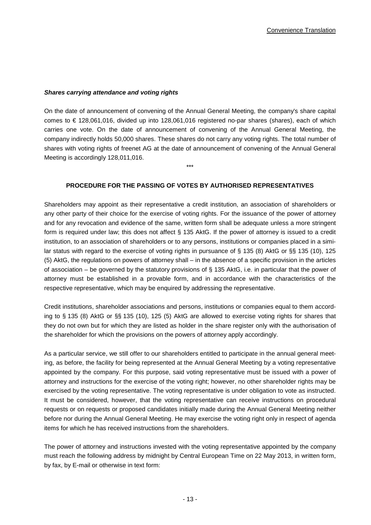### **Shares carrying attendance and voting rights**

On the date of announcement of convening of the Annual General Meeting, the company's share capital comes to € 128,061,016, divided up into 128,061,016 registered no-par shares (shares), each of which carries one vote. On the date of announcement of convening of the Annual General Meeting, the company indirectly holds 50,000 shares. These shares do not carry any voting rights. The total number of shares with voting rights of freenet AG at the date of announcement of convening of the Annual General Meeting is accordingly 128,011,016.

### **PROCEDURE FOR THE PASSING OF VOTES BY AUTHORISED REPRESENTATIVES**

\*\*\*

Shareholders may appoint as their representative a credit institution, an association of shareholders or any other party of their choice for the exercise of voting rights. For the issuance of the power of attorney and for any revocation and evidence of the same, written form shall be adequate unless a more stringent form is required under law; this does not affect § 135 AktG. If the power of attorney is issued to a credit institution, to an association of shareholders or to any persons, institutions or companies placed in a similar status with regard to the exercise of voting rights in pursuance of § 135 (8) AktG or §§ 135 (10), 125 (5) AktG, the regulations on powers of attorney shall – in the absence of a specific provision in the articles of association – be governed by the statutory provisions of § 135 AktG, i.e. in particular that the power of attorney must be established in a provable form, and in accordance with the characteristics of the respective representative, which may be enquired by addressing the representative.

Credit institutions, shareholder associations and persons, institutions or companies equal to them according to § 135 (8) AktG or §§ 135 (10), 125 (5) AktG are allowed to exercise voting rights for shares that they do not own but for which they are listed as holder in the share register only with the authorisation of the shareholder for which the provisions on the powers of attorney apply accordingly.

As a particular service, we still offer to our shareholders entitled to participate in the annual general meeting, as before, the facility for being represented at the Annual General Meeting by a voting representative appointed by the company. For this purpose, said voting representative must be issued with a power of attorney and instructions for the exercise of the voting right; however, no other shareholder rights may be exercised by the voting representative. The voting representative is under obligation to vote as instructed. It must be considered, however, that the voting representative can receive instructions on procedural requests or on requests or proposed candidates initially made during the Annual General Meeting neither before nor during the Annual General Meeting. He may exercise the voting right only in respect of agenda items for which he has received instructions from the shareholders.

The power of attorney and instructions invested with the voting representative appointed by the company must reach the following address by midnight by Central European Time on 22 May 2013, in written form, by fax, by E-mail or otherwise in text form: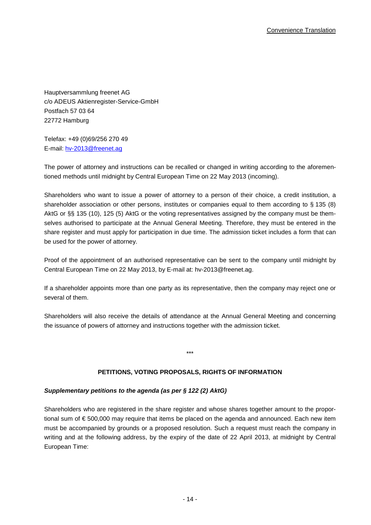Hauptversammlung freenet AG c/o ADEUS Aktienregister-Service-GmbH Postfach 57 03 64 22772 Hamburg

Telefax: +49 (0)69/256 270 49 E-mail: hv-2013@freenet.ag

The power of attorney and instructions can be recalled or changed in writing according to the aforementioned methods until midnight by Central European Time on 22 May 2013 (incoming).

Shareholders who want to issue a power of attorney to a person of their choice, a credit institution, a shareholder association or other persons, institutes or companies equal to them according to § 135 (8) AktG or §§ 135 (10), 125 (5) AktG or the voting representatives assigned by the company must be themselves authorised to participate at the Annual General Meeting. Therefore, they must be entered in the share register and must apply for participation in due time. The admission ticket includes a form that can be used for the power of attorney.

Proof of the appointment of an authorised representative can be sent to the company until midnight by Central European Time on 22 May 2013, by E-mail at: hv-2013@freenet.ag.

If a shareholder appoints more than one party as its representative, then the company may reject one or several of them.

Shareholders will also receive the details of attendance at the Annual General Meeting and concerning the issuance of powers of attorney and instructions together with the admission ticket.

\*\*\*

## **PETITIONS, VOTING PROPOSALS, RIGHTS OF INFORMATION**

## **Supplementary petitions to the agenda (as per § 122 (2) AktG)**

Shareholders who are registered in the share register and whose shares together amount to the proportional sum of € 500,000 may require that items be placed on the agenda and announced. Each new item must be accompanied by grounds or a proposed resolution. Such a request must reach the company in writing and at the following address, by the expiry of the date of 22 April 2013, at midnight by Central European Time: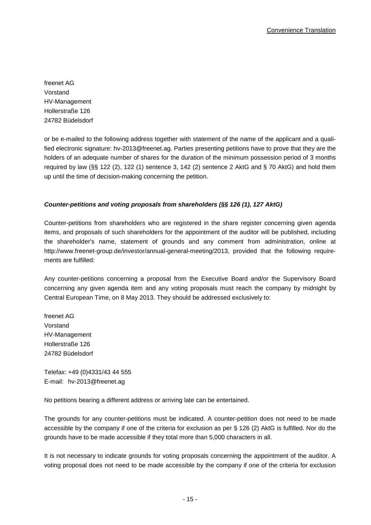freenet AG Vorstand HV-Management Hollerstraße 126 24782 Büdelsdorf

or be e-mailed to the following address together with statement of the name of the applicant and a qualified electronic signature: hv-2013@freenet.ag. Parties presenting petitions have to prove that they are the holders of an adequate number of shares for the duration of the minimum possession period of 3 months required by law (§§ 122 (2), 122 (1) sentence 3, 142 (2) sentence 2 AktG and § 70 AktG) and hold them up until the time of decision-making concerning the petition.

# **Counter-petitions and voting proposals from shareholders (§§ 126 (1), 127 AktG)**

Counter-petitions from shareholders who are registered in the share register concerning given agenda items, and proposals of such shareholders for the appointment of the auditor will be published, including the shareholder's name, statement of grounds and any comment from administration, online at http://www.freenet-group.de/investor/annual-general-meeting/2013, provided that the following requirements are fulfilled:

Any counter-petitions concerning a proposal from the Executive Board and/or the Supervisory Board concerning any given agenda item and any voting proposals must reach the company by midnight by Central European Time, on 8 May 2013. They should be addressed exclusively to:

freenet AG Vorstand HV-Management Hollerstraße 126 24782 Büdelsdorf

Telefax: +49 (0)4331/43 44 555 E-mail: hv-2013@freenet.ag

No petitions bearing a different address or arriving late can be entertained.

The grounds for any counter-petitions must be indicated. A counter-petition does not need to be made accessible by the company if one of the criteria for exclusion as per § 126 (2) AktG is fulfilled. Nor do the grounds have to be made accessible if they total more than 5,000 characters in all.

It is not necessary to indicate grounds for voting proposals concerning the appointment of the auditor. A voting proposal does not need to be made accessible by the company if one of the criteria for exclusion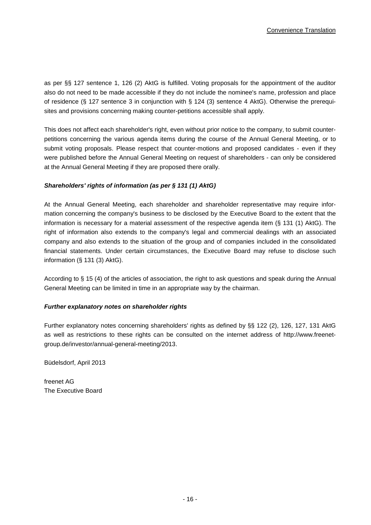as per §§ 127 sentence 1, 126 (2) AktG is fulfilled. Voting proposals for the appointment of the auditor also do not need to be made accessible if they do not include the nominee's name, profession and place of residence (§ 127 sentence 3 in conjunction with § 124 (3) sentence 4 AktG). Otherwise the prerequisites and provisions concerning making counter-petitions accessible shall apply.

This does not affect each shareholder's right, even without prior notice to the company, to submit counterpetitions concerning the various agenda items during the course of the Annual General Meeting, or to submit voting proposals. Please respect that counter-motions and proposed candidates - even if they were published before the Annual General Meeting on request of shareholders - can only be considered at the Annual General Meeting if they are proposed there orally.

## **Shareholders' rights of information (as per § 131 (1) AktG)**

At the Annual General Meeting, each shareholder and shareholder representative may require information concerning the company's business to be disclosed by the Executive Board to the extent that the information is necessary for a material assessment of the respective agenda item (§ 131 (1) AktG). The right of information also extends to the company's legal and commercial dealings with an associated company and also extends to the situation of the group and of companies included in the consolidated financial statements. Under certain circumstances, the Executive Board may refuse to disclose such information (§ 131 (3) AktG).

According to § 15 (4) of the articles of association, the right to ask questions and speak during the Annual General Meeting can be limited in time in an appropriate way by the chairman.

## **Further explanatory notes on shareholder rights**

Further explanatory notes concerning shareholders' rights as defined by §§ 122 (2), 126, 127, 131 AktG as well as restrictions to these rights can be consulted on the internet address of http://www.freenetgroup.de/investor/annual-general-meeting/2013.

Büdelsdorf, April 2013

freenet AG The Executive Board